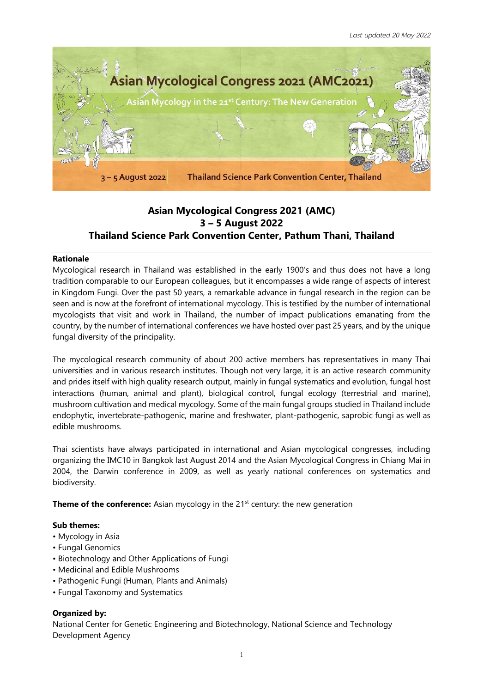

# **Asian Mycological Congress 2021 (AMC) 3 – 5 August 2022 Thailand Science Park Convention Center, Pathum Thani, Thailand**

#### **Rationale**

Mycological research in Thailand was established in the early 1900's and thus does not have a long tradition comparable to our European colleagues, but it encompasses a wide range of aspects of interest in Kingdom Fungi. Over the past 50 years, a remarkable advance in fungal research in the region can be seen and is now at the forefront of international mycology. This is testified by the number of international mycologists that visit and work in Thailand, the number of impact publications emanating from the country, by the number of international conferences we have hosted over past 25 years, and by the unique fungal diversity of the principality.

The mycological research community of about 200 active members has representatives in many Thai universities and in various research institutes. Though not very large, it is an active research community and prides itself with high quality research output, mainly in fungal systematics and evolution, fungal host interactions (human, animal and plant), biological control, fungal ecology (terrestrial and marine), mushroom cultivation and medical mycology. Some of the main fungal groups studied in Thailand include endophytic, invertebrate-pathogenic, marine and freshwater, plant-pathogenic, saprobic fungi as well as edible mushrooms.

Thai scientists have always participated in international and Asian mycological congresses, including organizing the IMC10 in Bangkok last August 2014 and the Asian Mycological Congress in Chiang Mai in 2004, the Darwin conference in 2009, as well as yearly national conferences on systematics and biodiversity.

**Theme of the conference:** Asian mycology in the 21<sup>st</sup> century: the new generation

#### **Sub themes:**

- Mycology in Asia
- Fungal Genomics
- Biotechnology and Other Applications of Fungi
- Medicinal and Edible Mushrooms
- Pathogenic Fungi (Human, Plants and Animals)
- Fungal Taxonomy and Systematics

## **Organized by:**

National Center for Genetic Engineering and Biotechnology, National Science and Technology Development Agency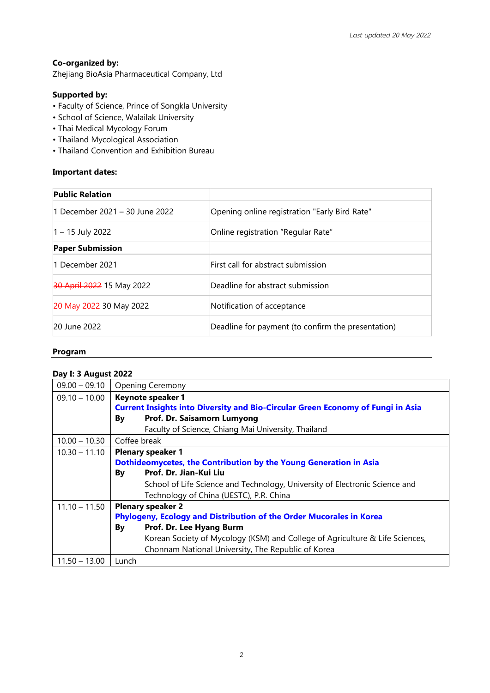## **Co-organized by:**

Zhejiang BioAsia Pharmaceutical Company, Ltd

# **Supported by:**

- Faculty of Science, Prince of Songkla University
- School of Science, Walailak University
- Thai Medical Mycology Forum
- Thailand Mycological Association
- Thailand Convention and Exhibition Bureau

#### **Important dates:**

| <b>Public Relation</b>         |                                                    |
|--------------------------------|----------------------------------------------------|
| 1 December 2021 - 30 June 2022 | Opening online registration "Early Bird Rate"      |
| $1 - 15$ July 2022             | Online registration "Regular Rate"                 |
| <b>Paper Submission</b>        |                                                    |
| 1 December 2021                | First call for abstract submission                 |
| 30 April 2022 15 May 2022      | Deadline for abstract submission                   |
| 20 May 2022 30 May 2022        | Notification of acceptance                         |
| 20 June 2022                   | Deadline for payment (to confirm the presentation) |

#### **Program**

# **Day I: 3 August 2022**

| $09.00 - 09.10$ | <b>Opening Ceremony</b>                                                                |  |  |  |
|-----------------|----------------------------------------------------------------------------------------|--|--|--|
| $09.10 - 10.00$ | Keynote speaker 1                                                                      |  |  |  |
|                 | <b>Current Insights into Diversity and Bio-Circular Green Economy of Fungi in Asia</b> |  |  |  |
|                 | Prof. Dr. Saisamorn Lumyong<br>By                                                      |  |  |  |
|                 | Faculty of Science, Chiang Mai University, Thailand                                    |  |  |  |
| $10.00 - 10.30$ | Coffee break                                                                           |  |  |  |
| $10.30 - 11.10$ | <b>Plenary speaker 1</b>                                                               |  |  |  |
|                 | Dothideomycetes, the Contribution by the Young Generation in Asia                      |  |  |  |
|                 | Prof. Dr. Jian-Kui Liu<br>By                                                           |  |  |  |
|                 | School of Life Science and Technology, University of Electronic Science and            |  |  |  |
|                 | Technology of China (UESTC), P.R. China                                                |  |  |  |
| $11.10 - 11.50$ | <b>Plenary speaker 2</b>                                                               |  |  |  |
|                 | Phylogeny, Ecology and Distribution of the Order Mucorales in Korea                    |  |  |  |
|                 | Prof. Dr. Lee Hyang Burm<br>By                                                         |  |  |  |
|                 | Korean Society of Mycology (KSM) and College of Agriculture & Life Sciences,           |  |  |  |
|                 | Chonnam National University, The Republic of Korea                                     |  |  |  |
| $11.50 - 13.00$ | Lunch                                                                                  |  |  |  |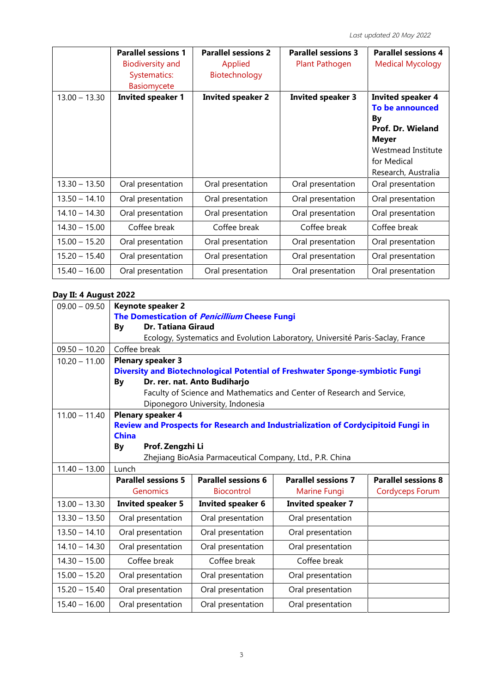|                 | <b>Parallel sessions 1</b><br><b>Biodiversity and</b><br>Systematics:<br><b>Basiomycete</b> | <b>Parallel sessions 2</b><br>Applied<br>Biotechnology | <b>Parallel sessions 3</b><br>Plant Pathogen | <b>Parallel sessions 4</b><br><b>Medical Mycology</b>                                                                                                     |
|-----------------|---------------------------------------------------------------------------------------------|--------------------------------------------------------|----------------------------------------------|-----------------------------------------------------------------------------------------------------------------------------------------------------------|
| $13.00 - 13.30$ | <b>Invited speaker 1</b>                                                                    | <b>Invited speaker 2</b>                               | <b>Invited speaker 3</b>                     | <b>Invited speaker 4</b><br>To be announced<br>By<br><b>Prof. Dr. Wieland</b><br><b>Meyer</b><br>Westmead Institute<br>for Medical<br>Research, Australia |
| $13.30 - 13.50$ | Oral presentation                                                                           | Oral presentation                                      | Oral presentation                            | Oral presentation                                                                                                                                         |
| $13.50 - 14.10$ | Oral presentation                                                                           | Oral presentation                                      | Oral presentation                            | Oral presentation                                                                                                                                         |
| $14.10 - 14.30$ | Oral presentation                                                                           | Oral presentation                                      | Oral presentation                            | Oral presentation                                                                                                                                         |
| $14.30 - 15.00$ | Coffee break                                                                                | Coffee break                                           | Coffee break                                 | Coffee break                                                                                                                                              |
| $15.00 - 15.20$ | Oral presentation                                                                           | Oral presentation                                      | Oral presentation                            | Oral presentation                                                                                                                                         |
| $15.20 - 15.40$ | Oral presentation                                                                           | Oral presentation                                      | Oral presentation                            | Oral presentation                                                                                                                                         |
| $15.40 - 16.00$ | Oral presentation                                                                           | Oral presentation                                      | Oral presentation                            | Oral presentation                                                                                                                                         |

# **Day II: 4 August 2022**

| $09.00 - 09.50$ | Keynote speaker 2                                                              |                                  |                                                                                   |                            |  |  |
|-----------------|--------------------------------------------------------------------------------|----------------------------------|-----------------------------------------------------------------------------------|----------------------------|--|--|
|                 | The Domestication of <i>Penicillium</i> Cheese Fungi                           |                                  |                                                                                   |                            |  |  |
|                 | Dr. Tatiana Giraud<br>By                                                       |                                  |                                                                                   |                            |  |  |
|                 | Ecology, Systematics and Evolution Laboratory, Université Paris-Saclay, France |                                  |                                                                                   |                            |  |  |
| $09.50 - 10.20$ | Coffee break                                                                   |                                  |                                                                                   |                            |  |  |
| $10.20 - 11.00$ | <b>Plenary speaker 3</b>                                                       |                                  |                                                                                   |                            |  |  |
|                 | Diversity and Biotechnological Potential of Freshwater Sponge-symbiotic Fungi  |                                  |                                                                                   |                            |  |  |
|                 | By                                                                             | Dr. rer. nat. Anto Budiharjo     |                                                                                   |                            |  |  |
|                 |                                                                                |                                  | Faculty of Science and Mathematics and Center of Research and Service,            |                            |  |  |
|                 |                                                                                | Diponegoro University, Indonesia |                                                                                   |                            |  |  |
| $11.00 - 11.40$ | <b>Plenary speaker 4</b>                                                       |                                  |                                                                                   |                            |  |  |
|                 |                                                                                |                                  | Review and Prospects for Research and Industrialization of Cordycipitoid Fungi in |                            |  |  |
|                 | <b>China</b>                                                                   |                                  |                                                                                   |                            |  |  |
|                 | Prof. Zengzhi Li<br>By                                                         |                                  |                                                                                   |                            |  |  |
|                 | Zhejiang BioAsia Parmaceutical Company, Ltd., P.R. China                       |                                  |                                                                                   |                            |  |  |
| $11.40 - 13.00$ | Lunch                                                                          |                                  |                                                                                   |                            |  |  |
|                 | <b>Parallel sessions 5</b>                                                     | <b>Parallel sessions 6</b>       | <b>Parallel sessions 7</b>                                                        | <b>Parallel sessions 8</b> |  |  |
|                 | Genomics                                                                       | <b>Biocontrol</b>                | Marine Fungi                                                                      | <b>Cordyceps Forum</b>     |  |  |
| $13.00 - 13.30$ | <b>Invited speaker 5</b>                                                       | <b>Invited speaker 6</b>         | <b>Invited speaker 7</b>                                                          |                            |  |  |
| $13.30 - 13.50$ | Oral presentation                                                              | Oral presentation                | Oral presentation                                                                 |                            |  |  |
| $13.50 - 14.10$ | Oral presentation                                                              | Oral presentation                | Oral presentation                                                                 |                            |  |  |
| $14.10 - 14.30$ | Oral presentation<br>Oral presentation<br>Oral presentation                    |                                  |                                                                                   |                            |  |  |
| $14.30 - 15.00$ | Coffee break                                                                   | Coffee break                     | Coffee break                                                                      |                            |  |  |
| $15.00 - 15.20$ | Oral presentation                                                              | Oral presentation                | Oral presentation                                                                 |                            |  |  |
| $15.20 - 15.40$ | Oral presentation<br>Oral presentation<br>Oral presentation                    |                                  |                                                                                   |                            |  |  |
| $15.40 - 16.00$ | Oral presentation<br>Oral presentation<br>Oral presentation                    |                                  |                                                                                   |                            |  |  |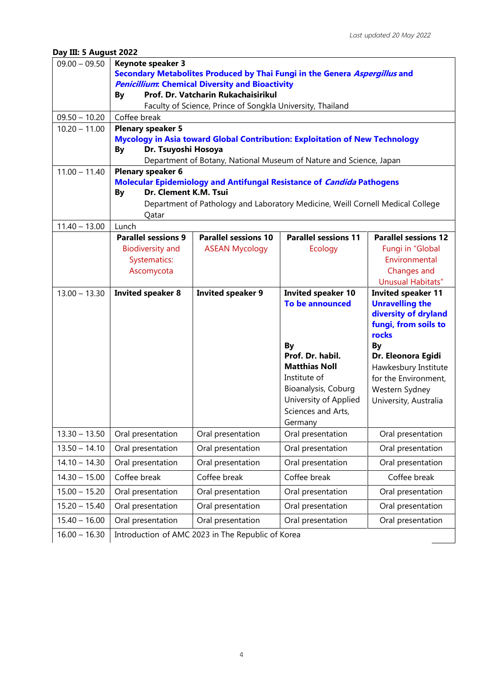# **Day III: 5 August 2022**

| $09.00 - 09.50$ | <b>Keynote speaker 3</b>                                                                                       |                                                                            |                                                                                |                             |  |
|-----------------|----------------------------------------------------------------------------------------------------------------|----------------------------------------------------------------------------|--------------------------------------------------------------------------------|-----------------------------|--|
|                 |                                                                                                                | Secondary Metabolites Produced by Thai Fungi in the Genera Aspergillus and |                                                                                |                             |  |
|                 | <b>Penicillium: Chemical Diversity and Bioactivity</b>                                                         |                                                                            |                                                                                |                             |  |
|                 | Prof. Dr. Vatcharin Rukachaisirikul<br><b>By</b><br>Faculty of Science, Prince of Songkla University, Thailand |                                                                            |                                                                                |                             |  |
| $09.50 - 10.20$ |                                                                                                                |                                                                            |                                                                                |                             |  |
| $10.20 - 11.00$ | Coffee break<br><b>Plenary speaker 5</b>                                                                       |                                                                            |                                                                                |                             |  |
|                 |                                                                                                                |                                                                            | Mycology in Asia toward Global Contribution: Exploitation of New Technology    |                             |  |
|                 | Dr. Tsuyoshi Hosoya<br><b>By</b>                                                                               |                                                                            |                                                                                |                             |  |
|                 |                                                                                                                |                                                                            | Department of Botany, National Museum of Nature and Science, Japan             |                             |  |
| $11.00 - 11.40$ | <b>Plenary speaker 6</b>                                                                                       |                                                                            |                                                                                |                             |  |
|                 |                                                                                                                |                                                                            | Molecular Epidemiology and Antifungal Resistance of Candida Pathogens          |                             |  |
|                 | Dr. Clement K.M. Tsui<br><b>By</b>                                                                             |                                                                            |                                                                                |                             |  |
|                 |                                                                                                                |                                                                            | Department of Pathology and Laboratory Medicine, Weill Cornell Medical College |                             |  |
| $11.40 - 13.00$ | Qatar<br>Lunch                                                                                                 |                                                                            |                                                                                |                             |  |
|                 | <b>Parallel sessions 9</b>                                                                                     | <b>Parallel sessions 10</b>                                                | <b>Parallel sessions 11</b>                                                    | <b>Parallel sessions 12</b> |  |
|                 | <b>Biodiversity and</b>                                                                                        | <b>ASEAN Mycology</b>                                                      | <b>Ecology</b>                                                                 | Fungi in "Global            |  |
|                 | Systematics:                                                                                                   |                                                                            |                                                                                | Environmental               |  |
|                 | Ascomycota                                                                                                     |                                                                            |                                                                                | Changes and                 |  |
|                 |                                                                                                                |                                                                            |                                                                                | Unusual Habitats"           |  |
| $13.00 - 13.30$ | <b>Invited speaker 8</b>                                                                                       | <b>Invited speaker 9</b>                                                   | <b>Invited speaker 10</b>                                                      | <b>Invited speaker 11</b>   |  |
|                 |                                                                                                                |                                                                            | <b>To be announced</b>                                                         | <b>Unravelling the</b>      |  |
|                 |                                                                                                                |                                                                            |                                                                                | diversity of dryland        |  |
|                 | fungi, from soils to<br>rocks                                                                                  |                                                                            |                                                                                |                             |  |
|                 |                                                                                                                |                                                                            | By                                                                             | <b>By</b>                   |  |
|                 |                                                                                                                |                                                                            | Prof. Dr. habil.                                                               | Dr. Eleonora Egidi          |  |
|                 |                                                                                                                |                                                                            | <b>Matthias Noll</b>                                                           | Hawkesbury Institute        |  |
|                 |                                                                                                                |                                                                            | Institute of                                                                   | for the Environment,        |  |
|                 |                                                                                                                |                                                                            | Bioanalysis, Coburg                                                            | Western Sydney              |  |
|                 |                                                                                                                |                                                                            | University of Applied                                                          | University, Australia       |  |
|                 |                                                                                                                |                                                                            | Sciences and Arts,<br>Germany                                                  |                             |  |
| $13.30 - 13.50$ | Oral presentation                                                                                              | Oral presentation                                                          | Oral presentation                                                              | Oral presentation           |  |
| $13.50 - 14.10$ | Oral presentation                                                                                              | Oral presentation                                                          | Oral presentation                                                              | Oral presentation           |  |
| $14.10 - 14.30$ | Oral presentation                                                                                              | Oral presentation                                                          | Oral presentation                                                              | Oral presentation           |  |
| $14.30 - 15.00$ | Coffee break                                                                                                   | Coffee break                                                               | Coffee break                                                                   | Coffee break                |  |
| $15.00 - 15.20$ | Oral presentation                                                                                              | Oral presentation                                                          | Oral presentation                                                              | Oral presentation           |  |
| $15.20 - 15.40$ | Oral presentation                                                                                              | Oral presentation                                                          | Oral presentation                                                              | Oral presentation           |  |
| $15.40 - 16.00$ | Oral presentation<br>Oral presentation<br>Oral presentation<br>Oral presentation                               |                                                                            |                                                                                |                             |  |
| $16.00 - 16.30$ | Introduction of AMC 2023 in The Republic of Korea                                                              |                                                                            |                                                                                |                             |  |